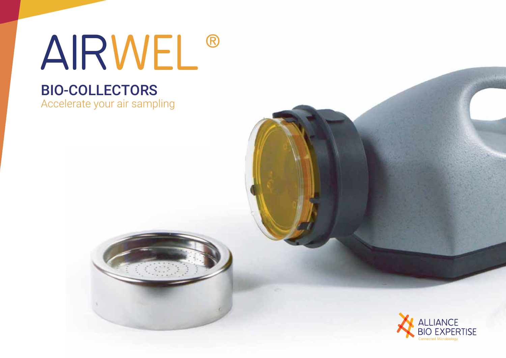# AIRWEL<sup>®</sup>

## **BIO-COLLECTORS**

Accelerate your air sampling



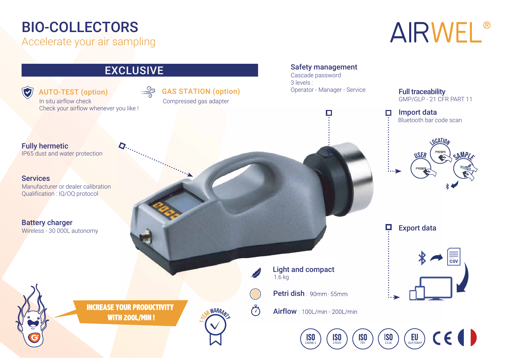### **BIO-COLLECTORS**

Accelerate your air sampling

# AIRWEL®

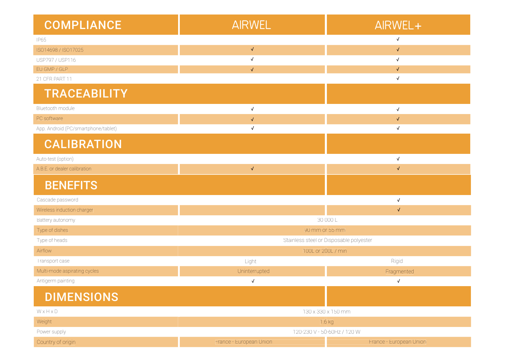| <b>COMPLIANCE</b>                   | <b>AIRWEL</b>                           | AIRWEL+                 |
|-------------------------------------|-----------------------------------------|-------------------------|
| IP65                                |                                         | $\checkmark$            |
| ISO14698 / ISO17025                 | $\checkmark$                            | $\sqrt{}$               |
| USP797 / USP116                     | $\sqrt{}$                               | $\sqrt{2}$              |
| EU GMP / GLP                        | $\sqrt{ }$                              | $\sqrt{}$               |
| 21 CFR PART 11                      |                                         | $\sqrt{}$               |
| <b>TRACEABILITY</b>                 |                                         |                         |
| Bluetooth module                    | $\checkmark$                            | $\checkmark$            |
| PC software                         | $\sqrt{}$                               | $\checkmark$            |
| App. Android (PC/smartphone/tablet) | $\checkmark$                            | $\sqrt{}$               |
| <b>CALIBRATION</b>                  |                                         |                         |
| Auto-test (option)                  |                                         | $\sqrt{ }$              |
| A.B.E. or dealer calibration        | $\checkmark$                            | $\checkmark$            |
| <b>BENEFITS</b>                     |                                         |                         |
| Cascade password                    |                                         | $\checkmark$            |
| Wireless induction charger          |                                         | $\checkmark$            |
| Battery autonomy                    | 30 000 L                                |                         |
| Type of dishes                      | 90 mm or 55 mm                          |                         |
| Type of heads                       | Stainless steel or Disposable polyester |                         |
| Airflow                             | 100L or 200L / min                      |                         |
| Transport case                      | Light                                   | Rigid                   |
| Multi-mode aspirating cycles        | Uninterrupted                           | Fragmented              |
| Antigerm painting                   | $\checkmark$                            | $\sqrt{}$               |
| <b>DIMENSIONS</b>                   |                                         |                         |
| WxHxD                               | 130 x 330 x 150 mm                      |                         |
| Weight                              | $1.6$ kg                                |                         |
| Power supply                        | 120-230 V - 50-60Hz / 120 W             |                         |
| Country of origin                   | France - European Union                 | France - European Union |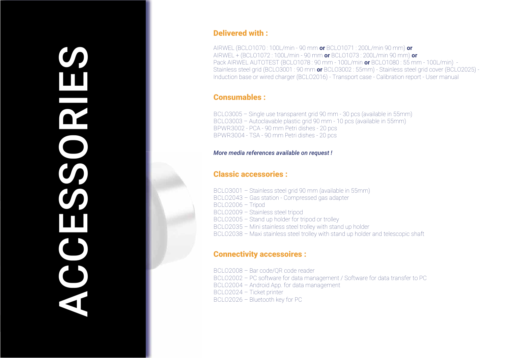# $\bm{O}$ H DOOD CO m  $\bigcup$ E

#### **Delivered with:**

AIRWEL (BCLO1070:100L/min - 90 mm or BCLO1071:200L/min 90 mm) or AIRWEL + (BCLO1072:100L/min - 90 mm or BCLO1073: 200L/min 90 mm) or Pack AIRWEL AUTOTEST (BCLO1078: 90 mm - 100L/min or BCLO1080: 55 mm - 100L/min) -Stainless steel grid (BCLO3001: 90 mm or BCLO3002: 55mm) - Stainless steel grid cover (BCLO2025) -Induction base or wired charger (BCLO2016) - Transport case - Calibration report - User manual

#### **Consumables:**

BCLO3005 - Single use transparent grid 90 mm - 30 pcs (available in 55mm) BCLO3003 - Autoclavable plastic grid 90 mm - 10 pcs (available in 55mm) BPWR3002 - PCA - 90 mm Petri dishes - 20 pcs BPWR3004 - TSA - 90 mm Petri dishes - 20 pcs

#### More media references available on request!

#### **Classic accessories:**

BCLO3001 - Stainless steel grid 90 mm (available in 55mm) BCLO2043 - Gas station - Compressed gas adapter BCLO2006 - Tripod BCLO2009 - Stainless steel tripod BCLO2005 - Stand up holder for tripod or trolley BCL02035 - Mini stainless steel trolley with stand up holder BCLO2038 - Maxi stainless steel trolley with stand up holder and telescopic shaft

#### **Connectivity accessoires:**

BCLO2008 - Bar code/OR code reader BCLO2002 - PC software for data management / Software for data transfer to PC BCLO2004 - Android App. for data management BCLO2024 - Ticket printer BCLO2026 - Bluetooth key for PC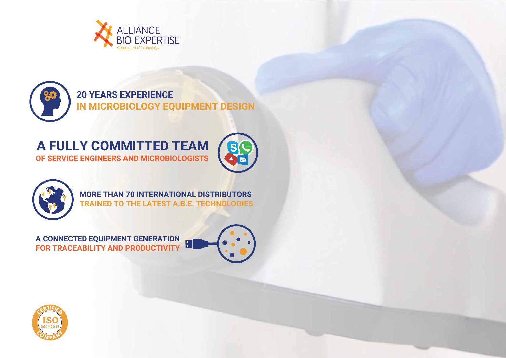









MORE THAN 70 INTERNATIONAL DISTRIBUTORS TRAINED TO THE LATEST A.B.E. TECHNOLOGIES

**FOR TRACEABILITY AND PRODUCTIVITY A CONNECTED EQUIPMENT GENERATION**